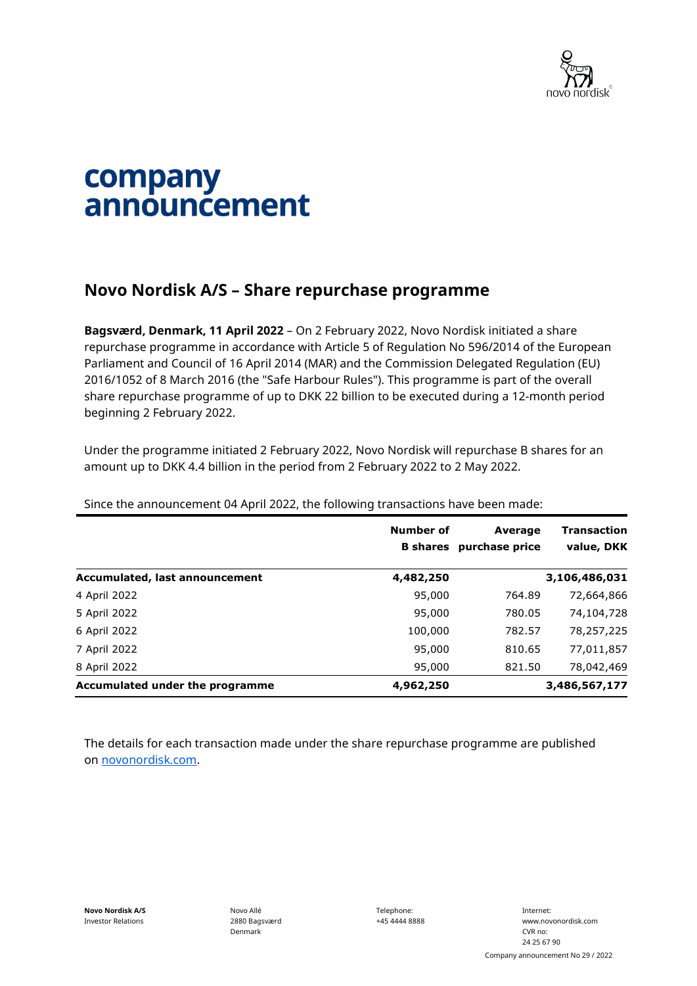

## company announcement

## **Novo Nordisk A/S – Share repurchase programme**

**Bagsværd, Denmark, 11 April 2022** – On 2 February 2022, Novo Nordisk initiated a share repurchase programme in accordance with Article 5 of Regulation No 596/2014 of the European Parliament and Council of 16 April 2014 (MAR) and the Commission Delegated Regulation (EU) 2016/1052 of 8 March 2016 (the "Safe Harbour Rules"). This programme is part of the overall share repurchase programme of up to DKK 22 billion to be executed during a 12-month period beginning 2 February 2022.

Under the programme initiated 2 February 2022, Novo Nordisk will repurchase B shares for an amount up to DKK 4.4 billion in the period from 2 February 2022 to 2 May 2022.

|                                 | Number of<br><b>B</b> shares | Average<br>purchase price | <b>Transaction</b><br>value, DKK |
|---------------------------------|------------------------------|---------------------------|----------------------------------|
| Accumulated, last announcement  | 4,482,250                    |                           | 3,106,486,031                    |
| 4 April 2022                    | 95,000                       | 764.89                    | 72,664,866                       |
| 5 April 2022                    | 95,000                       | 780.05                    | 74,104,728                       |
| 6 April 2022                    | 100,000                      | 782.57                    | 78,257,225                       |
| 7 April 2022                    | 95,000                       | 810.65                    | 77,011,857                       |
| 8 April 2022                    | 95,000                       | 821.50                    | 78,042,469                       |
| Accumulated under the programme | 4,962,250                    |                           | 3,486,567,177                    |

Since the announcement 04 April 2022, the following transactions have been made:

The details for each transaction made under the share repurchase programme are published on [novonordisk.com.](https://www.novonordisk.com/news-and-media/news-and-ir-materials.html)